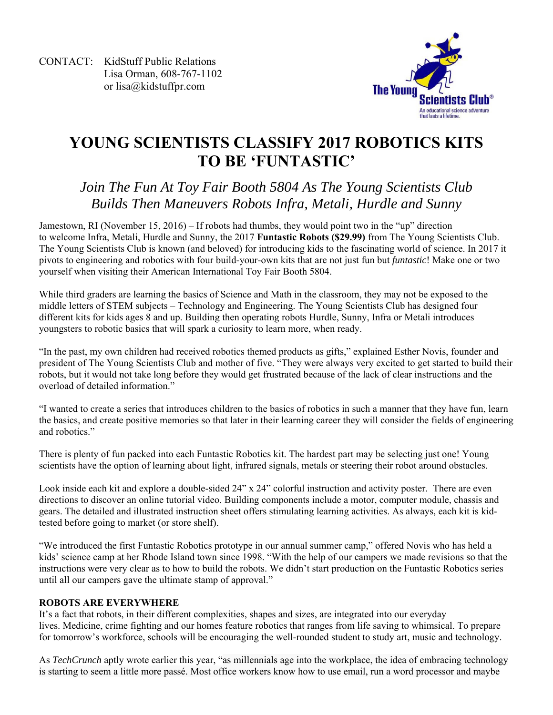CONTACT: KidStuff Public Relations Lisa Orman, 608-767-1102 or lisa@kidstuffpr.com



## **YOUNG SCIENTISTS CLASSIFY 2017 ROBOTICS KITS TO BE 'FUNTASTIC'**

## *Join The Fun At Toy Fair Booth 5804 As The Young Scientists Club Builds Then Maneuvers Robots Infra, Metali, Hurdle and Sunny*

Jamestown, RI (November 15, 2016) – If robots had thumbs, they would point two in the "up" direction to welcome Infra, Metali, Hurdle and Sunny, the 2017 **Funtastic Robots (\$29.99)** from The Young Scientists Club. The Young Scientists Club is known (and beloved) for introducing kids to the fascinating world of science. In 2017 it pivots to engineering and robotics with four build-your-own kits that are not just fun but *funtastic*! Make one or two yourself when visiting their American International Toy Fair Booth 5804.

While third graders are learning the basics of Science and Math in the classroom, they may not be exposed to the middle letters of STEM subjects – Technology and Engineering. The Young Scientists Club has designed four different kits for kids ages 8 and up. Building then operating robots Hurdle, Sunny, Infra or Metali introduces youngsters to robotic basics that will spark a curiosity to learn more, when ready.

"In the past, my own children had received robotics themed products as gifts," explained Esther Novis, founder and president of The Young Scientists Club and mother of five. "They were always very excited to get started to build their robots, but it would not take long before they would get frustrated because of the lack of clear instructions and the overload of detailed information."

"I wanted to create a series that introduces children to the basics of robotics in such a manner that they have fun, learn the basics, and create positive memories so that later in their learning career they will consider the fields of engineering and robotics."

There is plenty of fun packed into each Funtastic Robotics kit. The hardest part may be selecting just one! Young scientists have the option of learning about light, infrared signals, metals or steering their robot around obstacles.

Look inside each kit and explore a double-sided 24" x 24" colorful instruction and activity poster. There are even directions to discover an online tutorial video. Building components include a motor, computer module, chassis and gears. The detailed and illustrated instruction sheet offers stimulating learning activities. As always, each kit is kidtested before going to market (or store shelf).

"We introduced the first Funtastic Robotics prototype in our annual summer camp," offered Novis who has held a kids' science camp at her Rhode Island town since 1998. "With the help of our campers we made revisions so that the instructions were very clear as to how to build the robots. We didn't start production on the Funtastic Robotics series until all our campers gave the ultimate stamp of approval."

## **ROBOTS ARE EVERYWHERE**

It's a fact that robots, in their different complexities, shapes and sizes, are integrated into our everyday lives. Medicine, crime fighting and our homes feature robotics that ranges from life saving to whimsical. To prepare for tomorrow's workforce, schools will be encouraging the well-rounded student to study art, music and technology.

As *TechCrunch* aptly wrote earlier this year, "as millennials age into the workplace, the idea of embracing technology is starting to seem a little more passé. Most office workers know how to use email, run a word processor and maybe